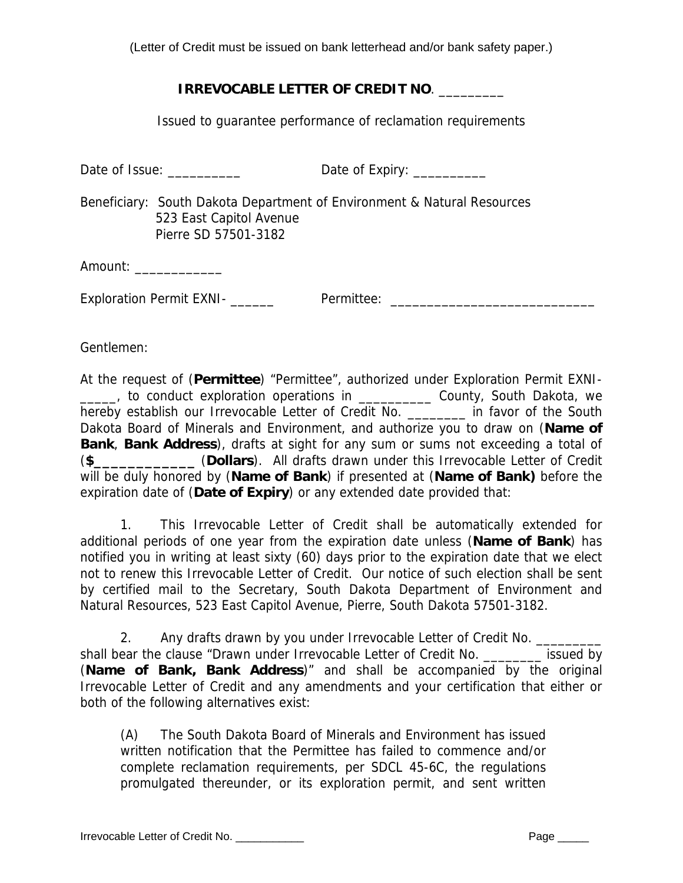(Letter of Credit must be issued on bank letterhead and/or bank safety paper.)

## **IRREVOCABLE LETTER OF CREDIT NO**. \_\_\_\_\_\_\_\_\_

Issued to guarantee performance of reclamation requirements

| Date of Issue: | Date of Expiry: |
|----------------|-----------------|
|                |                 |

Beneficiary: South Dakota Department of Environment & Natural Resources 523 East Capitol Avenue Pierre SD 57501-3182

Amount:

Exploration Permit EXNI- \_\_\_\_\_\_ Permittee: \_\_\_\_\_\_\_\_\_\_\_\_\_\_\_\_\_\_\_\_\_\_\_\_\_\_\_\_

Gentlemen:

At the request of (**Permittee**) "Permittee", authorized under Exploration Permit EXNI- \_\_\_\_\_, to conduct exploration operations in \_\_\_\_\_\_\_\_\_\_ County, South Dakota, we hereby establish our Irrevocable Letter of Credit No. \_\_\_\_\_\_\_\_ in favor of the South Dakota Board of Minerals and Environment, and authorize you to draw on (**Name of Bank**, **Bank Address**), drafts at sight for any sum or sums not exceeding a total of (**\$\_\_\_\_\_\_\_\_\_\_\_\_** (**Dollars**). All drafts drawn under this Irrevocable Letter of Credit will be duly honored by (**Name of Bank**) if presented at (**Name of Bank)** before the expiration date of (**Date of Expiry**) or any extended date provided that:

 1. This Irrevocable Letter of Credit shall be automatically extended for additional periods of one year from the expiration date unless (**Name of Bank**) has notified you in writing at least sixty (60) days prior to the expiration date that we elect not to renew this Irrevocable Letter of Credit. Our notice of such election shall be sent by certified mail to the Secretary, South Dakota Department of Environment and Natural Resources, 523 East Capitol Avenue, Pierre, South Dakota 57501-3182.

2. Any drafts drawn by you under Irrevocable Letter of Credit No. shall bear the clause "Drawn under Irrevocable Letter of Credit No. \_\_\_\_\_\_\_\_\_\_ issued by (**Name of Bank, Bank Address**)" and shall be accompanied by the original Irrevocable Letter of Credit and any amendments and your certification that either or both of the following alternatives exist:

 (A) The South Dakota Board of Minerals and Environment has issued written notification that the Permittee has failed to commence and/or complete reclamation requirements, per SDCL 45-6C, the regulations promulgated thereunder, or its exploration permit, and sent written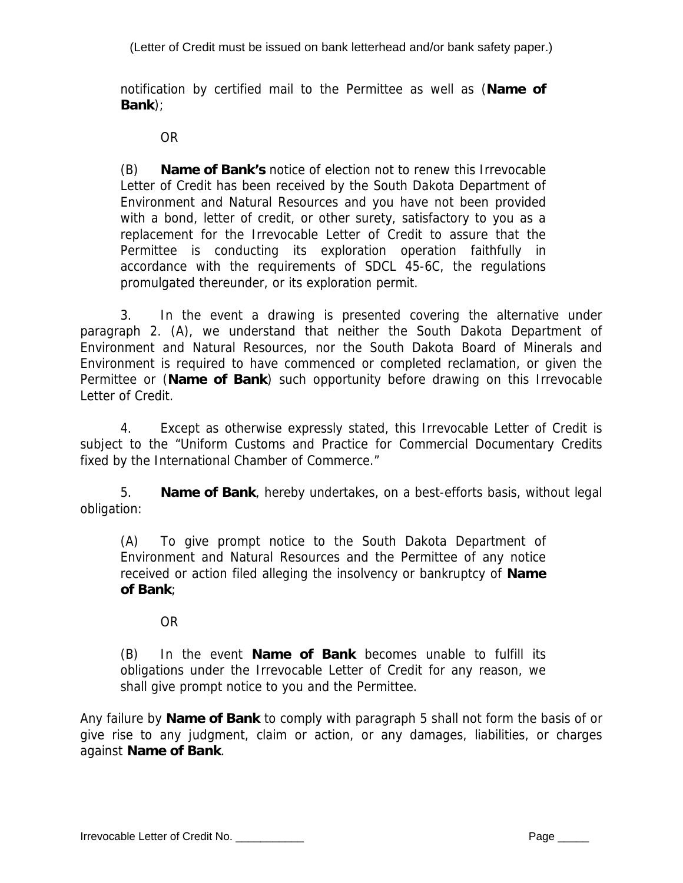(Letter of Credit must be issued on bank letterhead and/or bank safety paper.)

notification by certified mail to the Permittee as well as (**Name of Bank**);

OR

(B) **Name of Bank's** notice of election not to renew this Irrevocable Letter of Credit has been received by the South Dakota Department of Environment and Natural Resources and you have not been provided with a bond, letter of credit, or other surety, satisfactory to you as a replacement for the Irrevocable Letter of Credit to assure that the Permittee is conducting its exploration operation faithfully in accordance with the requirements of SDCL 45-6C, the regulations promulgated thereunder, or its exploration permit.

3. In the event a drawing is presented covering the alternative under paragraph 2. (A), we understand that neither the South Dakota Department of Environment and Natural Resources, nor the South Dakota Board of Minerals and Environment is required to have commenced or completed reclamation, or given the Permittee or (**Name of Bank**) such opportunity before drawing on this Irrevocable Letter of Credit.

4. Except as otherwise expressly stated, this Irrevocable Letter of Credit is subject to the "Uniform Customs and Practice for Commercial Documentary Credits fixed by the International Chamber of Commerce."

5. **Name of Bank**, hereby undertakes, on a best-efforts basis, without legal obligation:

(A) To give prompt notice to the South Dakota Department of Environment and Natural Resources and the Permittee of any notice received or action filed alleging the insolvency or bankruptcy of **Name of Bank**;

OR

(B) In the event **Name of Bank** becomes unable to fulfill its obligations under the Irrevocable Letter of Credit for any reason, we shall give prompt notice to you and the Permittee.

Any failure by **Name of Bank** to comply with paragraph 5 shall not form the basis of or give rise to any judgment, claim or action, or any damages, liabilities, or charges against **Name of Bank**.